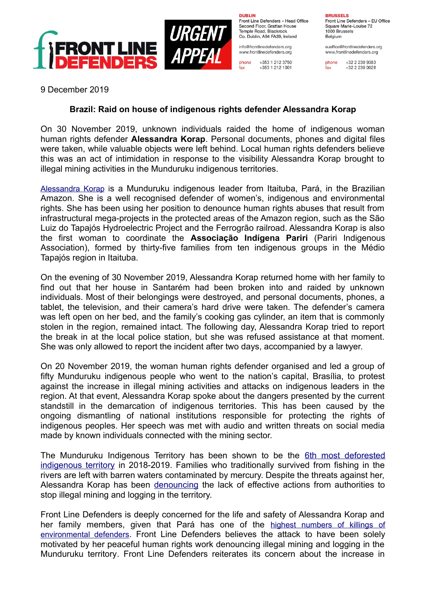

**DURLIN** Front Line Defenders - Head Office Second Floor, Grattan House Temple Boad, Blackrock Co. Dublin, A94 FA39, Ireland

info@frontlinedefenders.org www.frontlinedefenders.org

+353 1 212 3750 phone +353 1 212 1001 **BDHCCELC** Front Line Defenders - EU Office Square Marie-Louise 72 1000 Brussels Belgium

euoffice@frontlinedefenders.org www.frontlinedefenders.org

phone +32 2 230 9383 fax +32 2 230 0028

9 December 2019

## **Brazil: Raid on house of indigenous rights defender Alessandra Korap**

On 30 November 2019, unknown individuals raided the home of indigenous woman human rights defender **Alessandra Korap**. Personal documents, phones and digital files were taken, while valuable objects were left behind. Local human rights defenders believe this was an act of intimidation in response to the visibility Alessandra Korap brought to illegal mining activities in the Munduruku indigenous territories.

 [A lessandra Korap](https://www.frontlinedefenders.org/en/profile/alesssandra-korap) is a Munduruku indigenous leader from Itaituba, Pará, in the Brazilian Amazon. She is a well recognised defender of women's, indigenous and environmental rights. She has been using her position to denounce human rights abuses that result from infrastructural mega-projects in the protected areas of the Amazon region, such as the São Luiz do Tapajós Hydroelectric Project and the Ferrogrão railroad. Alessandra Korap is also the first woman to coordinate the **Associação Indígena Pariri** (Pariri Indigenous Association), formed by thirty-five families from ten indigenous groups in the Médio Tapajós region in Itaituba.

On the evening of 30 November 2019, Alessandra Korap returned home with her family to find out that her house in Santarém had been broken into and raided by unknown individuals. Most of their belongings were destroyed, and personal documents, phones, a tablet, the television, and their camera's hard drive were taken. The defender's camera was left open on her bed, and the family's cooking gas cylinder, an item that is commonly stolen in the region, remained intact. The following day, Alessandra Korap tried to report the break in at the local police station, but she was refused assistance at that moment. She was only allowed to report the incident after two days, accompanied by a lawyer.

On 20 November 2019, the woman human rights defender organised and led a group of fifty Munduruku indigenous people who went to the nation's capital, Brasília, to protest against the increase in illegal mining activities and attacks on indigenous leaders in the region. At that event, Alessandra Korap spoke about the dangers presented by the current standstill in the demarcation of indigenous territories. This has been caused by the ongoing dismantling of national institutions responsible for protecting the rights of indigenous peoples. Her speech was met with audio and written threats on social media made by known individuals connected with the mining sector.

The Munduruku Indigenous Territory has been shown to be the [6th most deforested](https://g1.globo.com/natureza/noticia/2019/11/28/terras-indigenas-tem-alta-de-74percent-no-desmatamento-area-mais-afetada-protege-povo-isolado.ghtml) [indigenous territory](https://g1.globo.com/natureza/noticia/2019/11/28/terras-indigenas-tem-alta-de-74percent-no-desmatamento-area-mais-afetada-protege-povo-isolado.ghtml) in 2018-2019. Families who traditionally survived from fishing in the rivers are left with barren waters contaminated by mercury. Despite the threats against her, Alessandra Korap has been [denouncing](https://racismoambiental.net.br/2019/12/01/apos-denunciar-mineracao-ilegal-lider-indigena-alessandra-korap-munduruku-tem-casa-invadida-no-para/) the lack of effective actions from authorities to stop illegal mining and logging in the territory.

Front Line Defenders is deeply concerned for the life and safety of Alessandra Korap and her family members, given that Pará has one of the [highest numbers of killings of](https://fpabramo.org.br/2017/09/20/eterna-marcha-contra-violencia-no-campo/) [environmental defenders](https://fpabramo.org.br/2017/09/20/eterna-marcha-contra-violencia-no-campo/). Front Line Defenders believes the attack to have been solely motivated by her peaceful human rights work denouncing illegal mining and logging in the Munduruku territory. Front Line Defenders reiterates its concern about the increase in